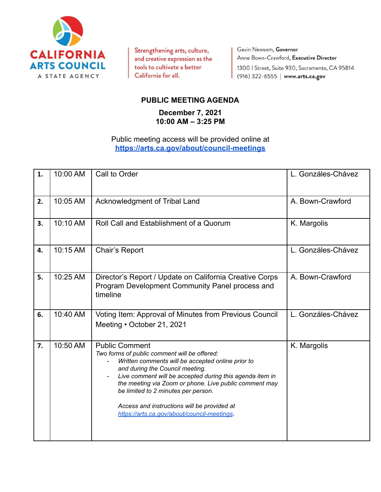

Strengthening arts, culture, and creative expression as the tools to cultivate a better California for all.

Gavin Newsom, Governor Anne Bown-Crawford, Executive Director 1300 | Street, Suite 930, Sacramento, CA 95814 (916) 322-6555 | www.arts.ca.gov

## **PUBLIC MEETING AGENDA**

## **December 7, 2021 10:00 AM – 3:25 PM**

## Public meeting access will be provided online at **[https://arts.ca.gov/about/council-meetings](https://arts.ca.gov/about/council-meetings/)**

| 1. | 10:00 AM | Call to Order                                                                                                                                                                                                                                                                                                                                                                                                            | L. Gonzáles-Chávez |
|----|----------|--------------------------------------------------------------------------------------------------------------------------------------------------------------------------------------------------------------------------------------------------------------------------------------------------------------------------------------------------------------------------------------------------------------------------|--------------------|
| 2. | 10:05 AM | Acknowledgment of Tribal Land                                                                                                                                                                                                                                                                                                                                                                                            | A. Bown-Crawford   |
| 3. | 10:10 AM | Roll Call and Establishment of a Quorum                                                                                                                                                                                                                                                                                                                                                                                  | K. Margolis        |
| 4. | 10:15 AM | Chair's Report                                                                                                                                                                                                                                                                                                                                                                                                           | L. Gonzáles-Chávez |
| 5. | 10:25 AM | Director's Report / Update on California Creative Corps<br>Program Development Community Panel process and<br>timeline                                                                                                                                                                                                                                                                                                   | A. Bown-Crawford   |
| 6. | 10:40 AM | Voting Item: Approval of Minutes from Previous Council<br>Meeting • October 21, 2021                                                                                                                                                                                                                                                                                                                                     | L. Gonzáles-Chávez |
| 7. | 10:50 AM | <b>Public Comment</b><br>Two forms of public comment will be offered:<br>Written comments will be accepted online prior to<br>and during the Council meeting.<br>Live comment will be accepted during this agenda item in<br>the meeting via Zoom or phone. Live public comment may<br>be limited to 2 minutes per person.<br>Access and instructions will be provided at<br>https://arts.ca.gov/about/council-meetings. | K. Margolis        |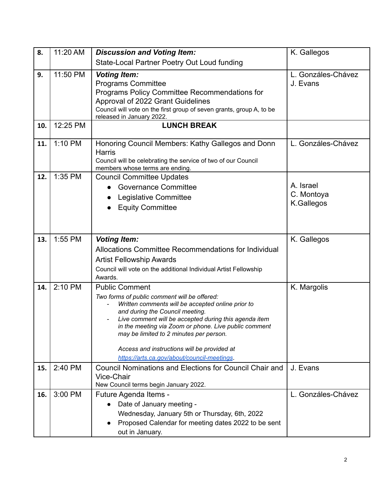| 8.  | 11:20 AM | <b>Discussion and Voting Item:</b>                                                                                                                                                                                                                                                                                                                                                                                       | K. Gallegos                           |
|-----|----------|--------------------------------------------------------------------------------------------------------------------------------------------------------------------------------------------------------------------------------------------------------------------------------------------------------------------------------------------------------------------------------------------------------------------------|---------------------------------------|
|     |          | State-Local Partner Poetry Out Loud funding                                                                                                                                                                                                                                                                                                                                                                              |                                       |
| 9.  | 11:50 PM | <b>Voting Item:</b><br><b>Programs Committee</b><br>Programs Policy Committee Recommendations for<br>Approval of 2022 Grant Guidelines<br>Council will vote on the first group of seven grants, group A, to be<br>released in January 2022.                                                                                                                                                                              | L. Gonzáles-Chávez<br>J. Evans        |
| 10. | 12:25 PM | <b>LUNCH BREAK</b>                                                                                                                                                                                                                                                                                                                                                                                                       |                                       |
| 11. | 1:10 PM  | Honoring Council Members: Kathy Gallegos and Donn<br><b>Harris</b><br>Council will be celebrating the service of two of our Council<br>members whose terms are ending.                                                                                                                                                                                                                                                   | L. Gonzáles-Chávez                    |
| 12. | 1:35 PM  | <b>Council Committee Updates</b><br><b>Governance Committee</b><br>Legislative Committee<br><b>Equity Committee</b>                                                                                                                                                                                                                                                                                                      | A. Israel<br>C. Montoya<br>K.Gallegos |
| 13. | 1:55 PM  | <b>Voting Item:</b><br>Allocations Committee Recommendations for Individual<br><b>Artist Fellowship Awards</b><br>Council will vote on the additional Individual Artist Fellowship<br>Awards.                                                                                                                                                                                                                            | K. Gallegos                           |
| 14. | 2:10 PM  | <b>Public Comment</b><br>Two forms of public comment will be offered:<br>Written comments will be accepted online prior to<br>and during the Council meeting.<br>Live comment will be accepted during this agenda item<br>in the meeting via Zoom or phone. Live public comment<br>may be limited to 2 minutes per person.<br>Access and instructions will be provided at<br>https://arts.ca.gov/about/council-meetings. | K. Margolis                           |
| 15. | 2:40 PM  | Council Nominations and Elections for Council Chair and<br>Vice-Chair<br>New Council terms begin January 2022.                                                                                                                                                                                                                                                                                                           | J. Evans                              |
| 16. | 3:00 PM  | Future Agenda Items -<br>Date of January meeting -<br>Wednesday, January 5th or Thursday, 6th, 2022<br>Proposed Calendar for meeting dates 2022 to be sent<br>out in January.                                                                                                                                                                                                                                            | L. Gonzáles-Chávez                    |